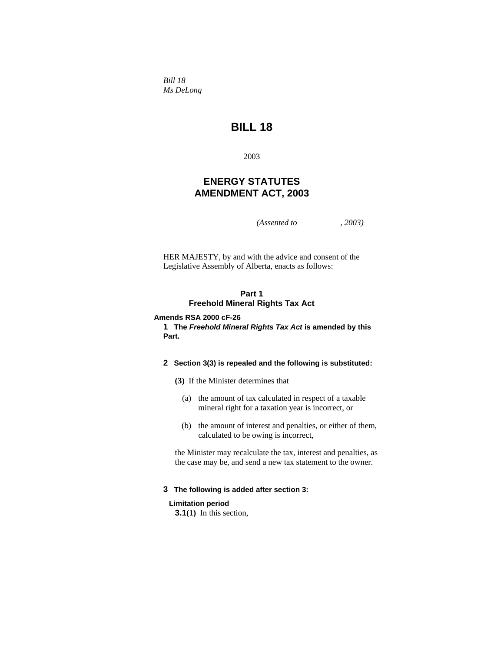*Bill 18 Ms DeLong* 

# **BILL 18**

2003

# **ENERGY STATUTES AMENDMENT ACT, 2003**

*(Assented to , 2003)* 

HER MAJESTY, by and with the advice and consent of the Legislative Assembly of Alberta, enacts as follows:

# **Part 1 Freehold Mineral Rights Tax Act**

# **Amends RSA 2000 cF-26 1 The** *Freehold Mineral Rights Tax Act* **is amended by this Part.**

### **2 Section 3(3) is repealed and the following is substituted:**

**(3)** If the Minister determines that

- (a) the amount of tax calculated in respect of a taxable mineral right for a taxation year is incorrect, or
- (b) the amount of interest and penalties, or either of them, calculated to be owing is incorrect,

the Minister may recalculate the tax, interest and penalties, as the case may be, and send a new tax statement to the owner.

# **3 The following is added after section 3:**

#### **Limitation period**

**3.1(1)** In this section,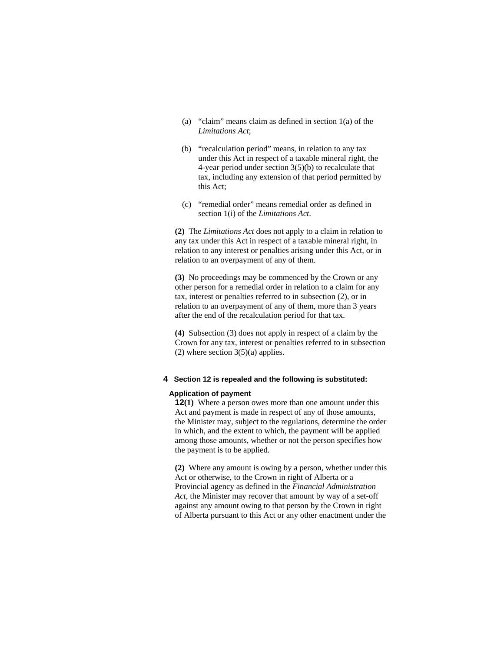- (a) "claim" means claim as defined in section 1(a) of the *Limitations Act*;
- (b) "recalculation period" means, in relation to any tax under this Act in respect of a taxable mineral right, the 4-year period under section 3(5)(b) to recalculate that tax, including any extension of that period permitted by this Act;
- (c) "remedial order" means remedial order as defined in section 1(i) of the *Limitations Act*.

**(2)** The *Limitations Act* does not apply to a claim in relation to any tax under this Act in respect of a taxable mineral right, in relation to any interest or penalties arising under this Act, or in relation to an overpayment of any of them.

**(3)** No proceedings may be commenced by the Crown or any other person for a remedial order in relation to a claim for any tax, interest or penalties referred to in subsection (2), or in relation to an overpayment of any of them, more than 3 years after the end of the recalculation period for that tax.

**(4)** Subsection (3) does not apply in respect of a claim by the Crown for any tax, interest or penalties referred to in subsection  $(2)$  where section  $3(5)(a)$  applies.

# **4 Section 12 is repealed and the following is substituted:**

### **Application of payment**

**12(1)** Where a person owes more than one amount under this Act and payment is made in respect of any of those amounts, the Minister may, subject to the regulations, determine the order in which, and the extent to which, the payment will be applied among those amounts, whether or not the person specifies how the payment is to be applied.

**(2)** Where any amount is owing by a person, whether under this Act or otherwise, to the Crown in right of Alberta or a Provincial agency as defined in the *Financial Administration Act*, the Minister may recover that amount by way of a set-off against any amount owing to that person by the Crown in right of Alberta pursuant to this Act or any other enactment under the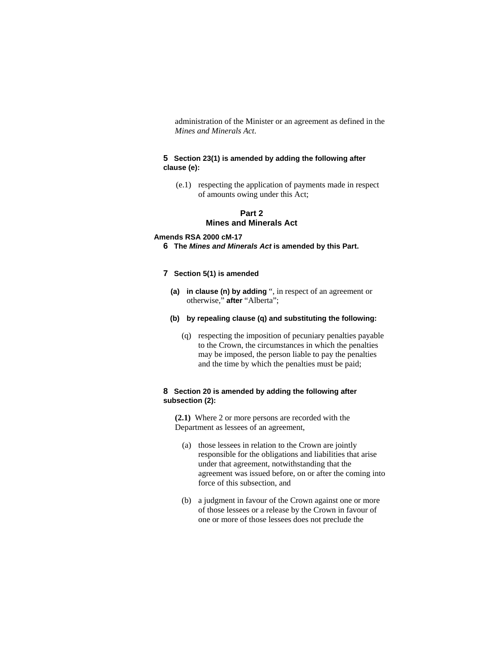administration of the Minister or an agreement as defined in the *Mines and Minerals Act*.

# **5 Section 23(1) is amended by adding the following after clause (e):**

 (e.1) respecting the application of payments made in respect of amounts owing under this Act;

# **Part 2 Mines and Minerals Act**

#### **Amends RSA 2000 cM-17**

**6 The** *Mines and Minerals Act* **is amended by this Part.** 

### **7 Section 5(1) is amended**

- **(a) in clause (n) by adding** ", in respect of an agreement or otherwise," **after** "Alberta";
- **(b) by repealing clause (q) and substituting the following:**
	- (q) respecting the imposition of pecuniary penalties payable to the Crown, the circumstances in which the penalties may be imposed, the person liable to pay the penalties and the time by which the penalties must be paid;

### **8 Section 20 is amended by adding the following after subsection (2):**

**(2.1)** Where 2 or more persons are recorded with the Department as lessees of an agreement,

- (a) those lessees in relation to the Crown are jointly responsible for the obligations and liabilities that arise under that agreement, notwithstanding that the agreement was issued before, on or after the coming into force of this subsection, and
- (b) a judgment in favour of the Crown against one or more of those lessees or a release by the Crown in favour of one or more of those lessees does not preclude the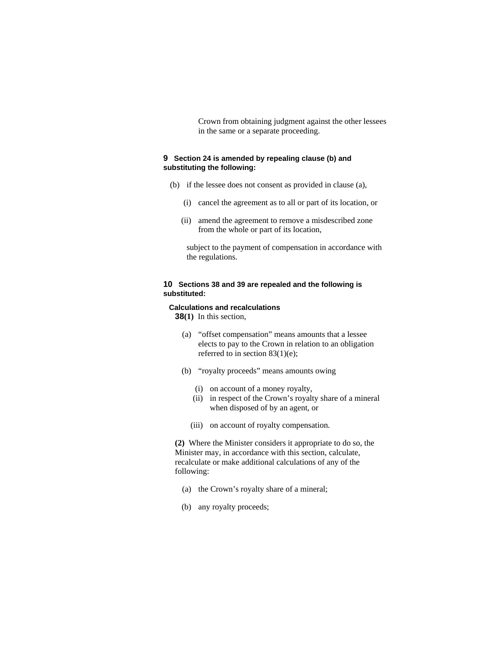Crown from obtaining judgment against the other lessees in the same or a separate proceeding.

# **9 Section 24 is amended by repealing clause (b) and substituting the following:**

- (b) if the lessee does not consent as provided in clause (a),
	- (i) cancel the agreement as to all or part of its location, or
	- (ii) amend the agreement to remove a misdescribed zone from the whole or part of its location,

 subject to the payment of compensation in accordance with the regulations.

# **10 Sections 38 and 39 are repealed and the following is substituted:**

### **Calculations and recalculations**

**38(1)** In this section,

- (a) "offset compensation" means amounts that a lessee elects to pay to the Crown in relation to an obligation referred to in section 83(1)(e);
- (b) "royalty proceeds" means amounts owing
	- (i) on account of a money royalty,
	- (ii) in respect of the Crown's royalty share of a mineral when disposed of by an agent, or
	- (iii) on account of royalty compensation.

**(2)** Where the Minister considers it appropriate to do so, the Minister may, in accordance with this section, calculate, recalculate or make additional calculations of any of the following:

- (a) the Crown's royalty share of a mineral;
- (b) any royalty proceeds;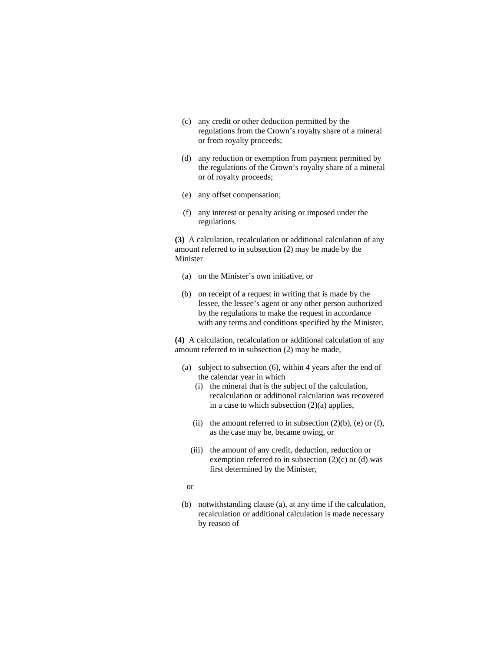- (c) any credit or other deduction permitted by the regulations from the Crown's royalty share of a mineral or from royalty proceeds;
- (d) any reduction or exemption from payment permitted by the regulations of the Crown's royalty share of a mineral or of royalty proceeds;
- (e) any offset compensation;
- (f) any interest or penalty arising or imposed under the regulations.

**(3)** A calculation, recalculation or additional calculation of any amount referred to in subsection (2) may be made by the Minister

- (a) on the Minister's own initiative, or
- (b) on receipt of a request in writing that is made by the lessee, the lessee's agent or any other person authorized by the regulations to make the request in accordance with any terms and conditions specified by the Minister.

**(4)** A calculation, recalculation or additional calculation of any amount referred to in subsection (2) may be made,

- (a) subject to subsection (6), within 4 years after the end of the calendar year in which
	- (i) the mineral that is the subject of the calculation, recalculation or additional calculation was recovered in a case to which subsection (2)(a) applies,
	- (ii) the amount referred to in subsection  $(2)(b)$ , (e) or (f), as the case may be, became owing, or
	- (iii) the amount of any credit, deduction, reduction or exemption referred to in subsection  $(2)(c)$  or  $(d)$  was first determined by the Minister,
- or
- (b) notwithstanding clause (a), at any time if the calculation, recalculation or additional calculation is made necessary by reason of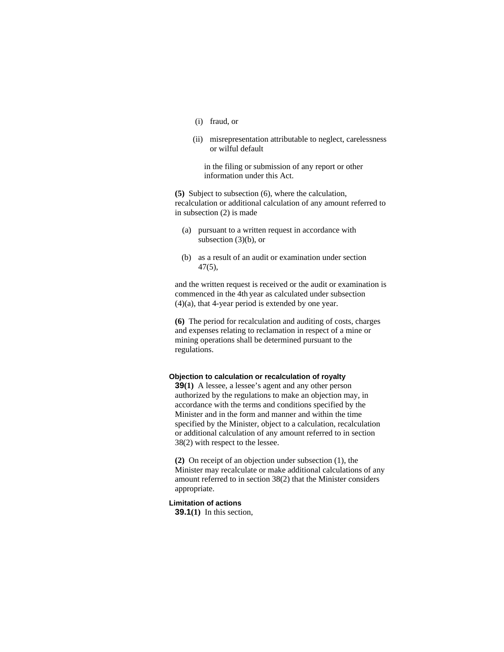- (i) fraud, or
- (ii) misrepresentation attributable to neglect, carelessness or wilful default

in the filing or submission of any report or other information under this Act.

**(5)** Subject to subsection (6), where the calculation, recalculation or additional calculation of any amount referred to in subsection (2) is made

- (a) pursuant to a written request in accordance with subsection  $(3)(b)$ , or
- (b) as a result of an audit or examination under section 47(5),

and the written request is received or the audit or examination is commenced in the 4th year as calculated under subsection (4)(a), that 4-year period is extended by one year.

**(6)** The period for recalculation and auditing of costs, charges and expenses relating to reclamation in respect of a mine or mining operations shall be determined pursuant to the regulations.

### **Objection to calculation or recalculation of royalty**

**39(1)** A lessee, a lessee's agent and any other person authorized by the regulations to make an objection may, in accordance with the terms and conditions specified by the Minister and in the form and manner and within the time specified by the Minister, object to a calculation, recalculation or additional calculation of any amount referred to in section 38(2) with respect to the lessee.

**(2)** On receipt of an objection under subsection (1), the Minister may recalculate or make additional calculations of any amount referred to in section 38(2) that the Minister considers appropriate.

# **Limitation of actions**

**39.1(1)** In this section,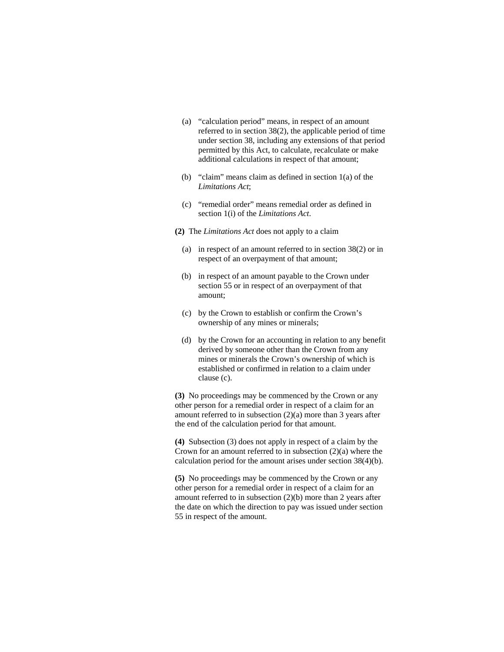- (a) "calculation period" means, in respect of an amount referred to in section 38(2), the applicable period of time under section 38, including any extensions of that period permitted by this Act, to calculate, recalculate or make additional calculations in respect of that amount;
- (b) "claim" means claim as defined in section 1(a) of the *Limitations Act*;
- (c) "remedial order" means remedial order as defined in section 1(i) of the *Limitations Act*.
- **(2)** The *Limitations Act* does not apply to a claim
	- (a) in respect of an amount referred to in section 38(2) or in respect of an overpayment of that amount;
	- (b) in respect of an amount payable to the Crown under section 55 or in respect of an overpayment of that amount;
	- (c) by the Crown to establish or confirm the Crown's ownership of any mines or minerals;
	- (d) by the Crown for an accounting in relation to any benefit derived by someone other than the Crown from any mines or minerals the Crown's ownership of which is established or confirmed in relation to a claim under clause (c).

**(3)** No proceedings may be commenced by the Crown or any other person for a remedial order in respect of a claim for an amount referred to in subsection (2)(a) more than 3 years after the end of the calculation period for that amount.

**(4)** Subsection (3) does not apply in respect of a claim by the Crown for an amount referred to in subsection (2)(a) where the calculation period for the amount arises under section 38(4)(b).

**(5)** No proceedings may be commenced by the Crown or any other person for a remedial order in respect of a claim for an amount referred to in subsection (2)(b) more than 2 years after the date on which the direction to pay was issued under section 55 in respect of the amount.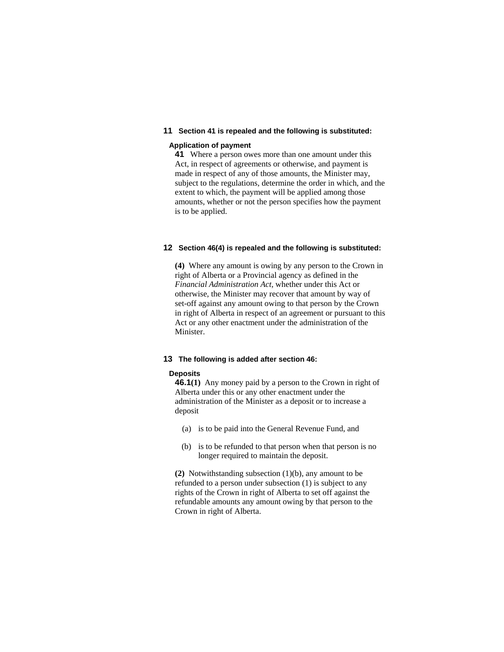# **11 Section 41 is repealed and the following is substituted:**

### **Application of payment**

**41** Where a person owes more than one amount under this Act, in respect of agreements or otherwise, and payment is made in respect of any of those amounts, the Minister may, subject to the regulations, determine the order in which, and the extent to which, the payment will be applied among those amounts, whether or not the person specifies how the payment is to be applied.

### **12 Section 46(4) is repealed and the following is substituted:**

**(4)** Where any amount is owing by any person to the Crown in right of Alberta or a Provincial agency as defined in the *Financial Administration Act*, whether under this Act or otherwise, the Minister may recover that amount by way of set-off against any amount owing to that person by the Crown in right of Alberta in respect of an agreement or pursuant to this Act or any other enactment under the administration of the Minister.

### **13 The following is added after section 46:**

#### **Deposits**

**46.1(1)** Any money paid by a person to the Crown in right of Alberta under this or any other enactment under the administration of the Minister as a deposit or to increase a deposit

- (a) is to be paid into the General Revenue Fund, and
- (b) is to be refunded to that person when that person is no longer required to maintain the deposit.

**(2)** Notwithstanding subsection (1)(b), any amount to be refunded to a person under subsection (1) is subject to any rights of the Crown in right of Alberta to set off against the refundable amounts any amount owing by that person to the Crown in right of Alberta.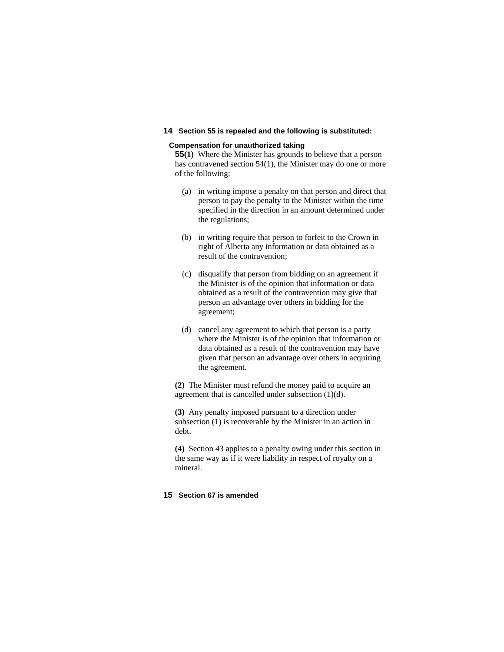# **14 Section 55 is repealed and the following is substituted:**

### **Compensation for unauthorized taking**

**55(1)** Where the Minister has grounds to believe that a person has contravened section 54(1), the Minister may do one or more of the following:

- (a) in writing impose a penalty on that person and direct that person to pay the penalty to the Minister within the time specified in the direction in an amount determined under the regulations;
- (b) in writing require that person to forfeit to the Crown in right of Alberta any information or data obtained as a result of the contravention;
- (c) disqualify that person from bidding on an agreement if the Minister is of the opinion that information or data obtained as a result of the contravention may give that person an advantage over others in bidding for the agreement;
- (d) cancel any agreement to which that person is a party where the Minister is of the opinion that information or data obtained as a result of the contravention may have given that person an advantage over others in acquiring the agreement.

**(2)** The Minister must refund the money paid to acquire an agreement that is cancelled under subsection (1)(d).

**(3)** Any penalty imposed pursuant to a direction under subsection (1) is recoverable by the Minister in an action in debt.

**(4)** Section 43 applies to a penalty owing under this section in the same way as if it were liability in respect of royalty on a mineral.

### **15 Section 67 is amended**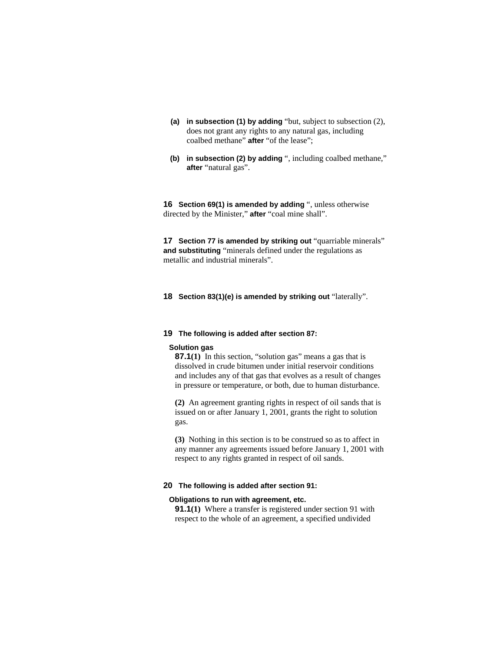- **(a) in subsection (1) by adding** "but, subject to subsection (2), does not grant any rights to any natural gas, including coalbed methane" **after** "of the lease";
- **(b) in subsection (2) by adding** ", including coalbed methane," **after** "natural gas".

**16 Section 69(1) is amended by adding** ", unless otherwise directed by the Minister," **after** "coal mine shall".

**17 Section 77 is amended by striking out** "quarriable minerals" **and substituting** "minerals defined under the regulations as metallic and industrial minerals".

**18 Section 83(1)(e) is amended by striking out** "laterally".

### **19 The following is added after section 87:**

#### **Solution gas**

**87.1(1)** In this section, "solution gas" means a gas that is dissolved in crude bitumen under initial reservoir conditions and includes any of that gas that evolves as a result of changes in pressure or temperature, or both, due to human disturbance.

**(2)** An agreement granting rights in respect of oil sands that is issued on or after January 1, 2001, grants the right to solution gas.

**(3)** Nothing in this section is to be construed so as to affect in any manner any agreements issued before January 1, 2001 with respect to any rights granted in respect of oil sands.

# **20 The following is added after section 91:**

### **Obligations to run with agreement, etc.**

**91.1(1)** Where a transfer is registered under section 91 with respect to the whole of an agreement, a specified undivided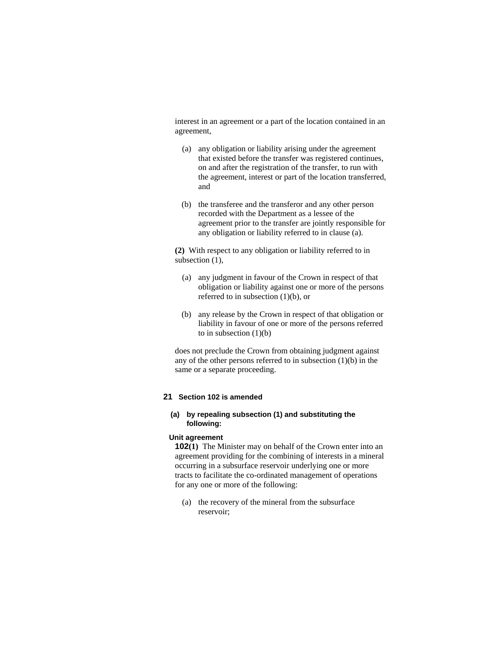interest in an agreement or a part of the location contained in an agreement,

- (a) any obligation or liability arising under the agreement that existed before the transfer was registered continues, on and after the registration of the transfer, to run with the agreement, interest or part of the location transferred, and
- (b) the transferee and the transferor and any other person recorded with the Department as a lessee of the agreement prior to the transfer are jointly responsible for any obligation or liability referred to in clause (a).

**(2)** With respect to any obligation or liability referred to in subsection  $(1)$ ,

- (a) any judgment in favour of the Crown in respect of that obligation or liability against one or more of the persons referred to in subsection (1)(b), or
- (b) any release by the Crown in respect of that obligation or liability in favour of one or more of the persons referred to in subsection  $(1)(b)$

does not preclude the Crown from obtaining judgment against any of the other persons referred to in subsection (1)(b) in the same or a separate proceeding.

### **21 Section 102 is amended**

### **(a) by repealing subsection (1) and substituting the following:**

### **Unit agreement**

**102(1)** The Minister may on behalf of the Crown enter into an agreement providing for the combining of interests in a mineral occurring in a subsurface reservoir underlying one or more tracts to facilitate the co-ordinated management of operations for any one or more of the following:

 (a) the recovery of the mineral from the subsurface reservoir;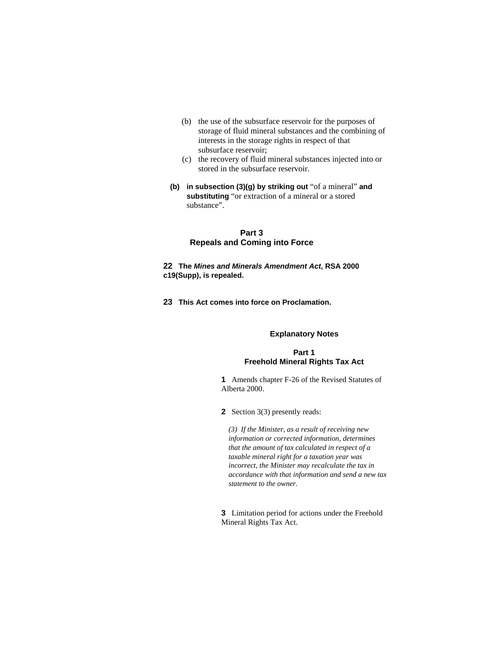- (b) the use of the subsurface reservoir for the purposes of storage of fluid mineral substances and the combining of interests in the storage rights in respect of that subsurface reservoir;
- (c) the recovery of fluid mineral substances injected into or stored in the subsurface reservoir.
- **(b) in subsection (3)(g) by striking out** "of a mineral" **and substituting** "or extraction of a mineral or a stored substance".

# **Part 3 Repeals and Coming into Force**

**22 The** *Mines and Minerals Amendment Act***, RSA 2000 c19(Supp), is repealed.**

**23 This Act comes into force on Proclamation.** 

#### **Explanatory Notes**

# **Part 1 Freehold Mineral Rights Tax Act**

**1** Amends chapter F-26 of the Revised Statutes of Alberta 2000.

**2** Section 3(3) presently reads:

*(3) If the Minister, as a result of receiving new information or corrected information, determines that the amount of tax calculated in respect of a taxable mineral right for a taxation year was incorrect, the Minister may recalculate the tax in accordance with that information and send a new tax statement to the owner.* 

**3** Limitation period for actions under the Freehold Mineral Rights Tax Act.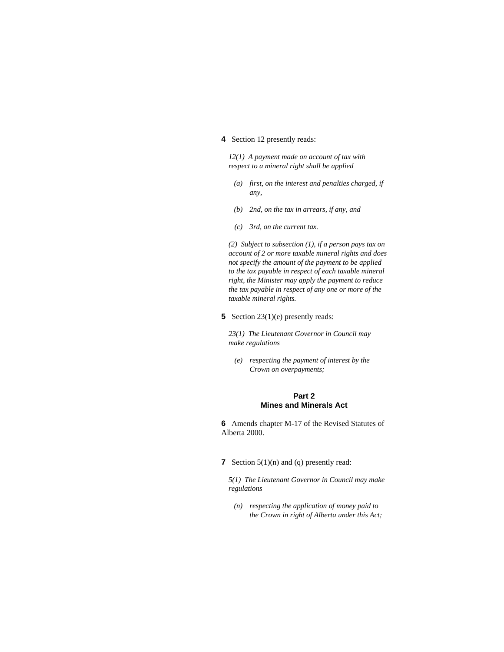#### **4** Section 12 presently reads:

*12(1) A payment made on account of tax with respect to a mineral right shall be applied* 

- *(a) first, on the interest and penalties charged, if any,*
- *(b) 2nd, on the tax in arrears, if any, and*
- *(c) 3rd, on the current tax.*

*(2) Subject to subsection (1), if a person pays tax on account of 2 or more taxable mineral rights and does not specify the amount of the payment to be applied to the tax payable in respect of each taxable mineral right, the Minister may apply the payment to reduce the tax payable in respect of any one or more of the taxable mineral rights.* 

**5** Section 23(1)(e) presently reads:

*23(1) The Lieutenant Governor in Council may make regulations* 

 *(e) respecting the payment of interest by the Crown on overpayments;* 

# **Part 2 Mines and Minerals Act**

**6** Amends chapter M-17 of the Revised Statutes of Alberta 2000.

**7** Section 5(1)(n) and (q) presently read:

*5(1) The Lieutenant Governor in Council may make regulations* 

 *(n) respecting the application of money paid to the Crown in right of Alberta under this Act;*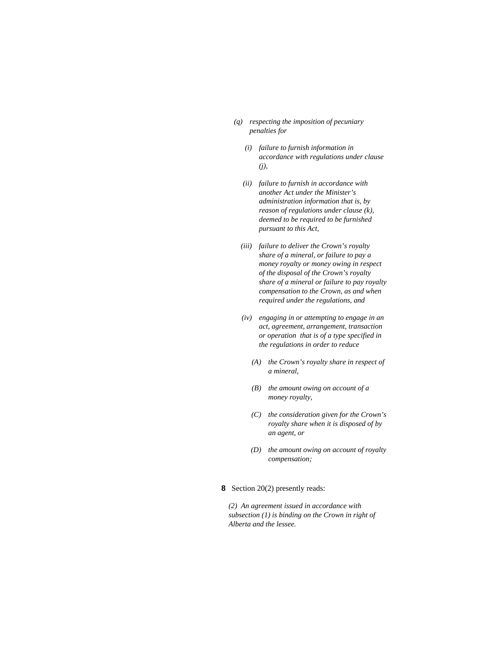- *(q) respecting the imposition of pecuniary penalties for* 
	- *(i) failure to furnish information in accordance with regulations under clause (j),*
	- *(ii) failure to furnish in accordance with another Act under the Minister's administration information that is, by reason of regulations under clause (k), deemed to be required to be furnished pursuant to this Act,*
	- *(iii) failure to deliver the Crown's royalty share of a mineral, or failure to pay a money royalty or money owing in respect of the disposal of the Crown's royalty share of a mineral or failure to pay royalty compensation to the Crown, as and when required under the regulations, and*
	- *(iv) engaging in or attempting to engage in an act, agreement, arrangement, transaction or operation that is of a type specified in the regulations in order to reduce* 
		- *(A) the Crown's royalty share in respect of a mineral,*
		- *(B) the amount owing on account of a money royalty,*
		- *(C) the consideration given for the Crown's royalty share when it is disposed of by an agent, or*
		- *(D) the amount owing on account of royalty compensation;*

### **8** Section 20(2) presently reads:

*(2) An agreement issued in accordance with subsection (1) is binding on the Crown in right of Alberta and the lessee.*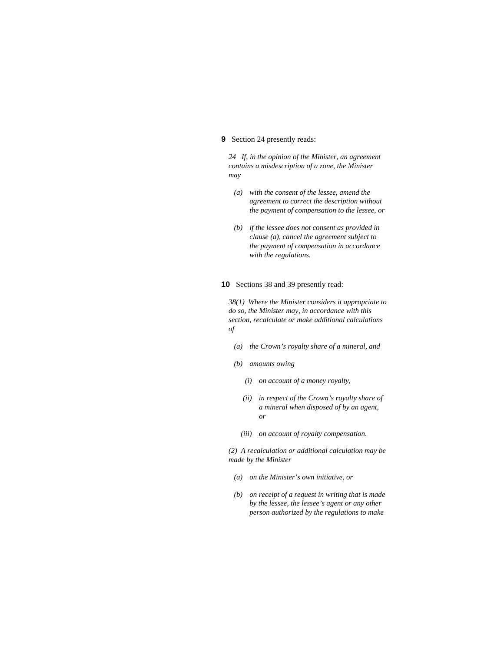#### **9** Section 24 presently reads:

*24 If, in the opinion of the Minister, an agreement contains a misdescription of a zone, the Minister may* 

- *(a) with the consent of the lessee, amend the agreement to correct the description without the payment of compensation to the lessee, or*
- *(b) if the lessee does not consent as provided in clause (a), cancel the agreement subject to the payment of compensation in accordance with the regulations.*

### **10** Sections 38 and 39 presently read:

*38(1) Where the Minister considers it appropriate to do so, the Minister may, in accordance with this section, recalculate or make additional calculations of* 

- *(a) the Crown's royalty share of a mineral, and*
- *(b) amounts owing* 
	- *(i) on account of a money royalty,*
	- *(ii) in respect of the Crown's royalty share of a mineral when disposed of by an agent, or*
	- *(iii) on account of royalty compensation.*

*(2) A recalculation or additional calculation may be made by the Minister* 

- *(a) on the Minister's own initiative, or*
- *(b) on receipt of a request in writing that is made by the lessee, the lessee's agent or any other person authorized by the regulations to make*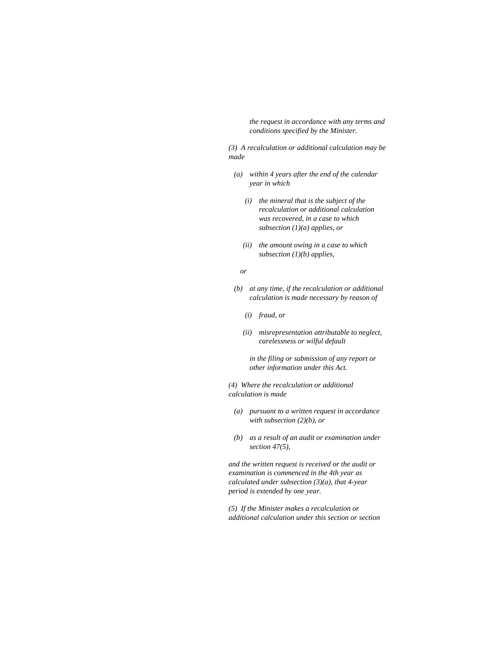*the request in accordance with any terms and conditions specified by the Minister.* 

*(3) A recalculation or additional calculation may be made* 

- *(a) within 4 years after the end of the calendar year in which* 
	- *(i) the mineral that is the subject of the recalculation or additional calculation was recovered, in a case to which subsection (1)(a) applies, or*
	- *(ii) the amount owing in a case to which subsection (1)(b) applies,*
- *or* 
	- *(b) at any time, if the recalculation or additional calculation is made necessary by reason of* 
		- *(i) fraud, or*
		- *(ii) misrepresentation attributable to neglect, carelessness or wilful default*

 *in the filing or submission of any report or other information under this Act.* 

*(4) Where the recalculation or additional calculation is made* 

- *(a) pursuant to a written request in accordance with subsection (2)(b), or*
- *(b) as a result of an audit or examination under section 47(5),*

*and the written request is received or the audit or examination is commenced in the 4th year as calculated under subsection (3)(a), that 4-year period is extended by one year.* 

*(5) If the Minister makes a recalculation or additional calculation under this section or section*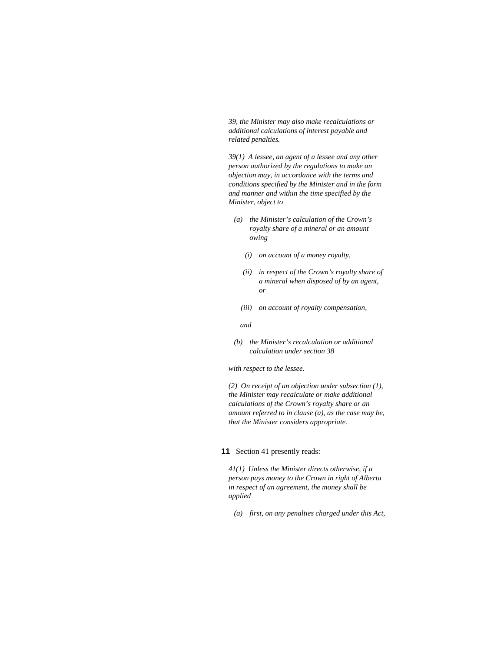*39, the Minister may also make recalculations or additional calculations of interest payable and related penalties.* 

*39(1) A lessee, an agent of a lessee and any other person authorized by the regulations to make an objection may, in accordance with the terms and conditions specified by the Minister and in the form and manner and within the time specified by the Minister, object to* 

- *(a) the Minister's calculation of the Crown's royalty share of a mineral or an amount owing* 
	- *(i) on account of a money royalty,*
	- *(ii) in respect of the Crown's royalty share of a mineral when disposed of by an agent, or*
	- *(iii) on account of royalty compensation,*

 *and* 

 *(b) the Minister's recalculation or additional calculation under section 38* 

*with respect to the lessee.* 

*(2) On receipt of an objection under subsection (1), the Minister may recalculate or make additional calculations of the Crown's royalty share or an amount referred to in clause (a), as the case may be, that the Minister considers appropriate.* 

### **11** Section 41 presently reads:

*41(1) Unless the Minister directs otherwise, if a person pays money to the Crown in right of Alberta in respect of an agreement, the money shall be applied* 

 *(a) first, on any penalties charged under this Act,*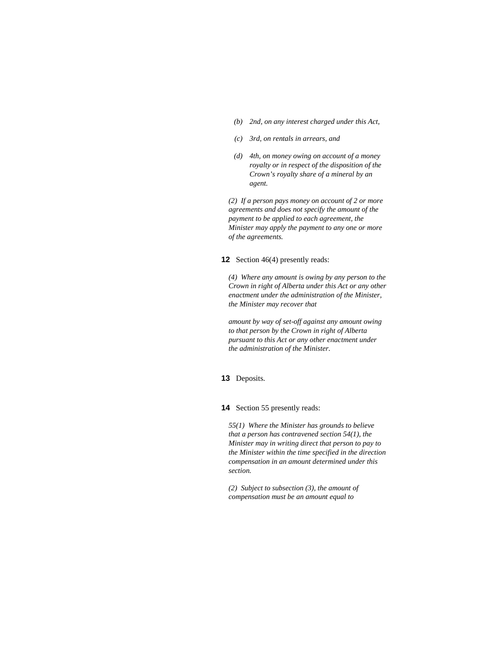- *(b) 2nd, on any interest charged under this Act,*
- *(c) 3rd, on rentals in arrears, and*
- *(d) 4th, on money owing on account of a money royalty or in respect of the disposition of the Crown's royalty share of a mineral by an agent.*

*(2) If a person pays money on account of 2 or more agreements and does not specify the amount of the payment to be applied to each agreement, the Minister may apply the payment to any one or more of the agreements.* 

# **12** Section 46(4) presently reads:

*(4) Where any amount is owing by any person to the Crown in right of Alberta under this Act or any other enactment under the administration of the Minister, the Minister may recover that* 

*amount by way of set-off against any amount owing to that person by the Crown in right of Alberta pursuant to this Act or any other enactment under the administration of the Minister.* 

### **13** Deposits.

**14** Section 55 presently reads:

*55(1) Where the Minister has grounds to believe that a person has contravened section 54(1), the Minister may in writing direct that person to pay to the Minister within the time specified in the direction compensation in an amount determined under this section.* 

*(2) Subject to subsection (3), the amount of compensation must be an amount equal to*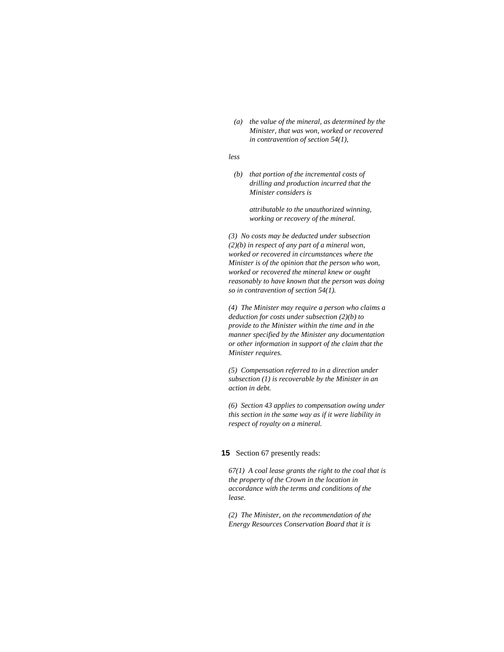*(a) the value of the mineral, as determined by the Minister, that was won, worked or recovered in contravention of section 54(1),* 

#### *less*

 *(b) that portion of the incremental costs of drilling and production incurred that the Minister considers is* 

> *attributable to the unauthorized winning, working or recovery of the mineral.*

*(3) No costs may be deducted under subsection (2)(b) in respect of any part of a mineral won, worked or recovered in circumstances where the Minister is of the opinion that the person who won, worked or recovered the mineral knew or ought reasonably to have known that the person was doing so in contravention of section 54(1).* 

*(4) The Minister may require a person who claims a deduction for costs under subsection (2)(b) to provide to the Minister within the time and in the manner specified by the Minister any documentation or other information in support of the claim that the Minister requires.* 

*(5) Compensation referred to in a direction under subsection (1) is recoverable by the Minister in an action in debt.* 

*(6) Section 43 applies to compensation owing under this section in the same way as if it were liability in respect of royalty on a mineral.* 

# **15** Section 67 presently reads:

*67(1) A coal lease grants the right to the coal that is the property of the Crown in the location in accordance with the terms and conditions of the lease.* 

*(2) The Minister, on the recommendation of the Energy Resources Conservation Board that it is*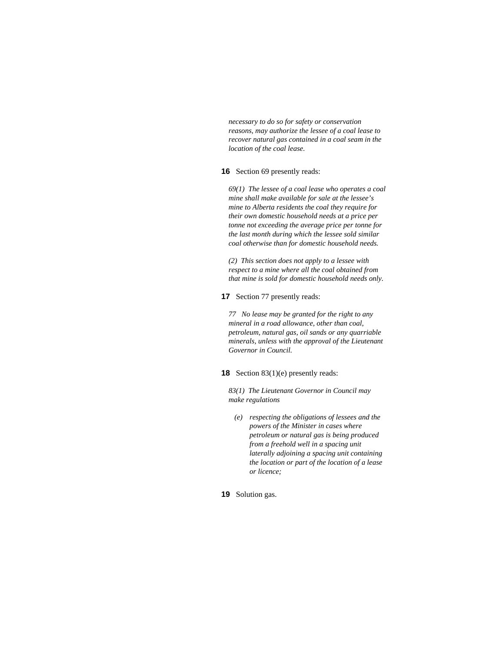*necessary to do so for safety or conservation reasons, may authorize the lessee of a coal lease to recover natural gas contained in a coal seam in the location of the coal lease.* 

### **16** Section 69 presently reads:

*69(1) The lessee of a coal lease who operates a coal mine shall make available for sale at the lessee's mine to Alberta residents the coal they require for their own domestic household needs at a price per tonne not exceeding the average price per tonne for the last month during which the lessee sold similar coal otherwise than for domestic household needs.* 

*(2) This section does not apply to a lessee with respect to a mine where all the coal obtained from that mine is sold for domestic household needs only.* 

#### **17** Section 77 presently reads:

*77 No lease may be granted for the right to any mineral in a road allowance, other than coal, petroleum, natural gas, oil sands or any quarriable minerals, unless with the approval of the Lieutenant Governor in Council.* 

#### **18** Section 83(1)(e) presently reads:

*83(1) The Lieutenant Governor in Council may make regulations* 

 *(e) respecting the obligations of lessees and the powers of the Minister in cases where petroleum or natural gas is being produced from a freehold well in a spacing unit laterally adjoining a spacing unit containing the location or part of the location of a lease or licence;* 

### **19** Solution gas.